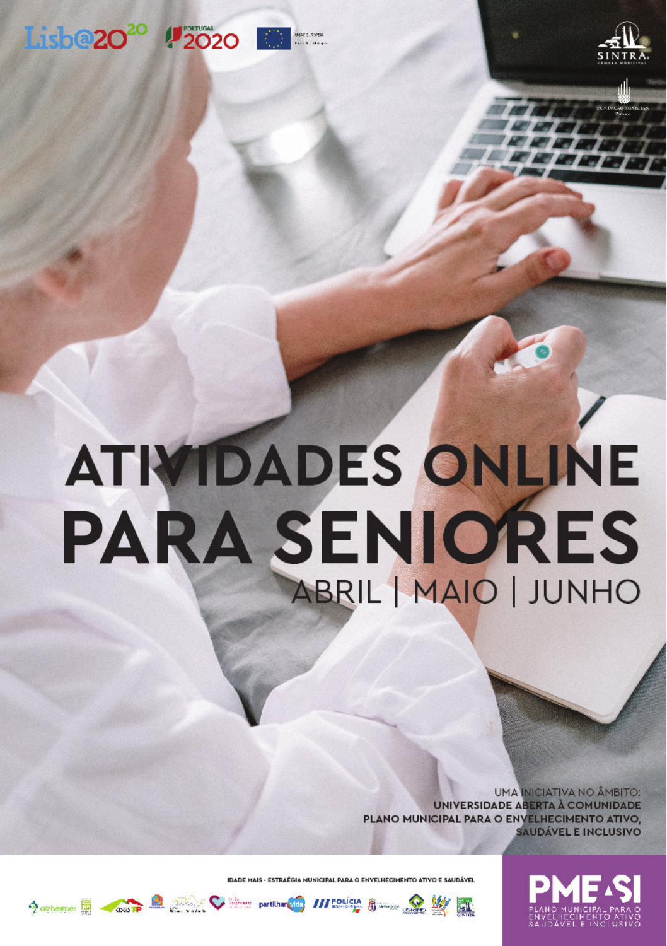## Lisb@20<sup>20</sup> #2020



# **ATIVIDADES ONLINE PARA SENIORES** ABRIL | MAIO | JUNHO

**UMA INICIATIVA NO ÂMBITO: UNIVERSIDADE ABERTA À COMUNIDADE** PLANO MUNICIPAL PARA O ENVELHECIMENTO ATIVO, **SAUDÁVEL E INCLUSIVO** 





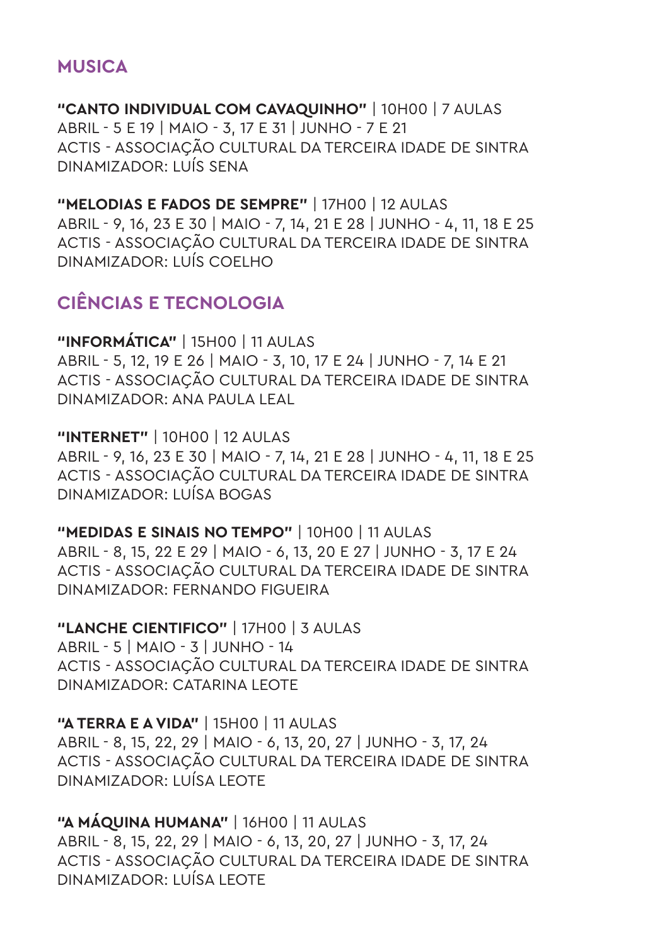#### **MUSICA**

**"CANTO INDIVIDUAL COM CAVAQUINHO"** | 10H00 | 7 AULAS ABRIL - 5 E 19 | MAIO - 3, 17 E 31 | JUNHO - 7 E 21 ACTIS - ASSOCIAÇÃO CULTURAL DA TERCEIRA IDADE DE SINTRA DINAMIZADOR: LUÍS SENA

**"MELODIAS E FADOS DE SEMPRE"** | 17H00 | 12 AULAS ABRIL - 9, 16, 23 E 30 | MAIO - 7, 14, 21 E 28 | JUNHO - 4, 11, 18 E 25 ACTIS - ASSOCIAÇÃO CULTURAL DA TERCEIRA IDADE DE SINTRA DINAMIZADOR: LUÍS COELHO

## **CIÊNCIAS E TECNOLOGIA**

**"INFORMÁTICA"** | 15H00 | 11 AULAS ABRIL - 5, 12, 19 E 26 | MAIO - 3, 10, 17 E 24 | JUNHO - 7, 14 E 21 ACTIS - ASSOCIAÇÃO CULTURAL DA TERCEIRA IDADE DE SINTRA DINAMIZADOR: ANA PAULA LEAL

**"INTERNET"** | 10H00 | 12 AULAS ABRIL - 9, 16, 23 E 30 | MAIO - 7, 14, 21 E 28 | JUNHO - 4, 11, 18 E 25 ACTIS - ASSOCIAÇÃO CULTURAL DA TERCEIRA IDADE DE SINTRA DINAMIZADOR: LUÍSA BOGAS

**"MEDIDAS E SINAIS NO TEMPO"** | 10H00 | 11 AULAS ABRIL - 8, 15, 22 E 29 | MAIO - 6, 13, 20 E 27 | JUNHO - 3, 17 E 24 ACTIS - ASSOCIAÇÃO CULTURAL DA TERCEIRA IDADE DE SINTRA DINAMIZADOR: FERNANDO FIGUEIRA

**"LANCHE CIENTIFICO"** | 17H00 | 3 AULAS ABRIL - 5 | MAIO - 3 | JUNHO - 14 ACTIS - ASSOCIAÇÃO CULTURAL DA TERCEIRA IDADE DE SINTRA DINAMIZADOR: CATARINA LEOTE

**"A TERRA E A VIDA"** | 15H00 | 11 AULAS ABRIL - 8, 15, 22, 29 | MAIO - 6, 13, 20, 27 | JUNHO - 3, 17, 24 ACTIS - ASSOCIAÇÃO CULTURAL DA TERCEIRA IDADE DE SINTRA DINAMIZADOR: LUÍSA LEOTE

**"A MÁQUINA HUMANA"** | 16H00 | 11 AULAS ABRIL - 8, 15, 22, 29 | MAIO - 6, 13, 20, 27 | JUNHO - 3, 17, 24 ACTIS - ASSOCIAÇÃO CULTURAL DA TERCEIRA IDADE DE SINTRA DINAMIZADOR: LUÍSA LEOTE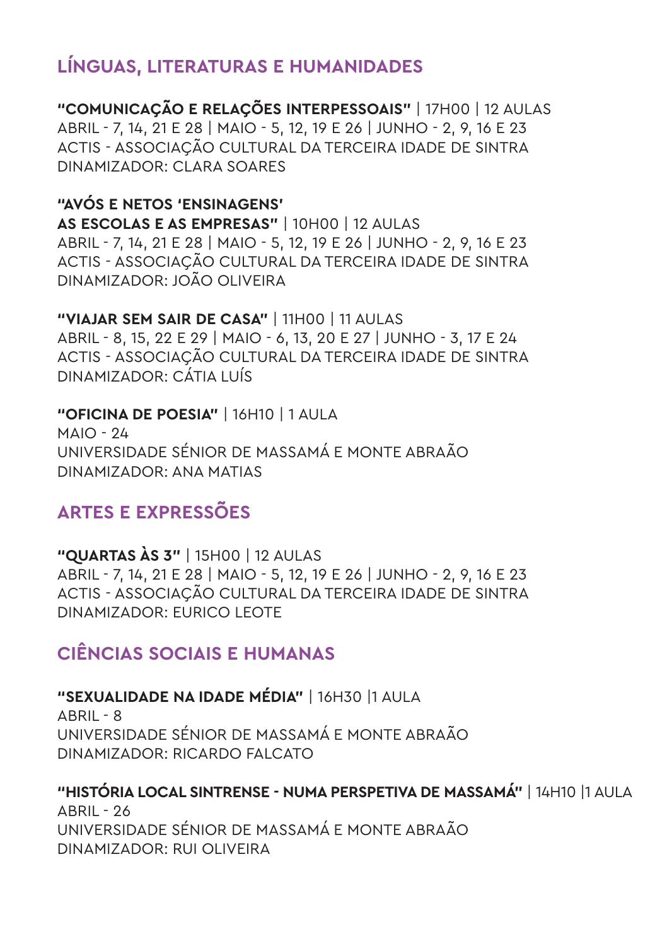## **LÍNGUAS, LITERATURAS E HUMANIDADES**

**"COMUNICAÇÃO E RELAÇÕES INTERPESSOAIS"** | 17H00 | 12 AULAS ABRIL - 7, 14, 21 E 28 | MAIO - 5, 12, 19 E 26 | JUNHO - 2, 9, 16 E 23 ACTIS - ASSOCIAÇÃO CULTURAL DA TERCEIRA IDADE DE SINTRA DINAMIZADOR: CLARA SOARES

#### **"AVÓS E NETOS 'ENSINAGENS'**

**AS ESCOLAS E AS EMPRESAS"** | 10H00 | 12 AULAS ABRIL - 7, 14, 21 E 28 | MAIO - 5, 12, 19 E 26 | JUNHO - 2, 9, 16 E 23 ACTIS - ASSOCIAÇÃO CULTURAL DA TERCEIRA IDADE DE SINTRA DINAMIZADOR: JOÃO OLIVEIRA

**"VIAJAR SEM SAIR DE CASA"** | 11H00 | 11 AULAS ABRIL - 8, 15, 22 E 29 | MAIO - 6, 13, 20 E 27 | JUNHO - 3, 17 E 24 ACTIS - ASSOCIAÇÃO CULTURAL DA TERCEIRA IDADE DE SINTRA DINAMIZADOR: CÁTIA LUÍS

**"OFICINA DE POESIA"** | 16H10 | 1 AULA  $MAD - 24$ UNIVERSIDADE SÉNIOR DE MASSAMÁ E MONTE ABRAÃO DINAMIZADOR: ANA MATIAS

## **ARTES E EXPRESSÕES**

**"QUARTAS ÀS 3"** | 15H00 | 12 AULAS ABRIL - 7, 14, 21 E 28 | MAIO - 5, 12, 19 E 26 | JUNHO - 2, 9, 16 E 23 ACTIS - ASSOCIAÇÃO CULTURAL DA TERCEIRA IDADE DE SINTRA DINAMIZADOR: EURICO LEOTE

## **CIÊNCIAS SOCIAIS E HUMANAS**

**"SEXUALIDADE NA IDADE MÉDIA"** | 16H30 |1 AULA  $ABRII - 8$ UNIVERSIDADE SÉNIOR DE MASSAMÁ E MONTE ABRAÃO DINAMIZADOR: RICARDO FALCATO

**"HISTÓRIA LOCAL SINTRENSE - NUMA PERSPETIVA DE MASSAMÁ"** | 14H10 |1 AULA ABRIL - 26 UNIVERSIDADE SÉNIOR DE MASSAMÁ E MONTE ABRAÃO DINAMIZADOR: RUI OLIVEIRA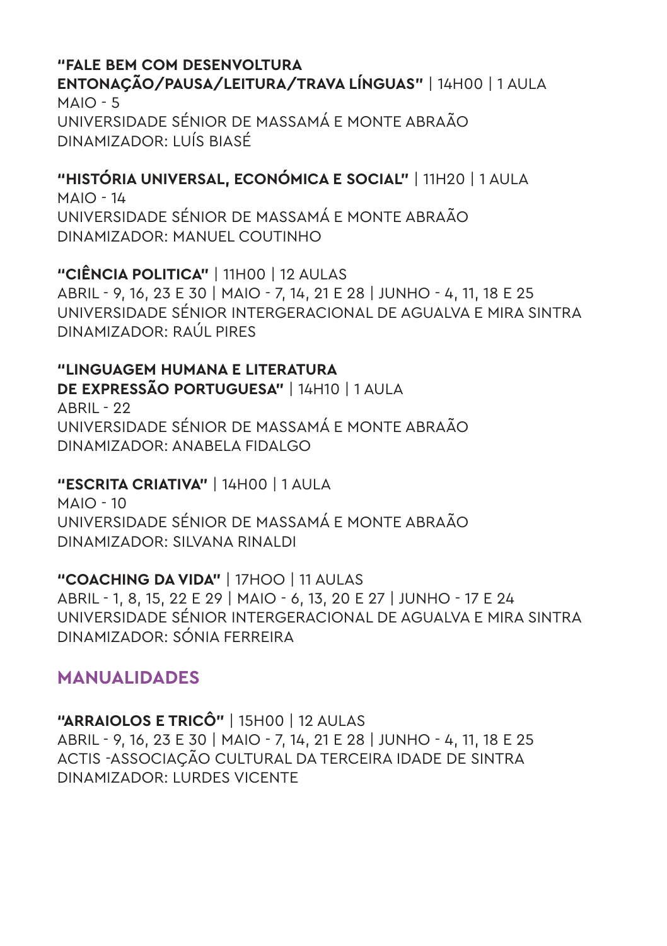#### **"FALE BEM COM DESENVOLTURA ENTONAÇÃO/PAUSA/LEITURA/TRAVA LÍNGUAS"** | 14H00 | 1 AULA  $MAIO - 5$ UNIVERSIDADE SÉNIOR DE MASSAMÁ E MONTE ABRAÃO DINAMIZADOR: LUÍS BIASÉ

**"HISTÓRIA UNIVERSAL, ECONÓMICA E SOCIAL"** | 11H20 | 1 AULA  $MAIO - 14$ UNIVERSIDADE SÉNIOR DE MASSAMÁ E MONTE ABRAÃO DINAMIZADOR: MANUEL COUTINHO

**"CIÊNCIA POLITICA"** | 11H00 | 12 AULAS ABRIL - 9, 16, 23 E 30 | MAIO - 7, 14, 21 E 28 | JUNHO - 4, 11, 18 E 25 UNIVERSIDADE SÉNIOR INTERGERACIONAL DE AGUALVA E MIRA SINTRA DINAMIZADOR: RAÚL PIRES

**"LINGUAGEM HUMANA E LITERATURA DE EXPRESSÃO PORTUGUESA"** | 14H10 | 1 AULA ABRIL - 22 UNIVERSIDADE SÉNIOR DE MASSAMÁ E MONTE ABRAÃO DINAMIZADOR: ANABELA FIDALGO

**"ESCRITA CRIATIVA"** | 14H00 | 1 AULA  $MAIO - 10$ UNIVERSIDADE SÉNIOR DE MASSAMÁ E MONTE ABRAÃO DINAMIZADOR: SILVANA RINALDI

**"COACHING DA VIDA"** | 17HOO | 11 AULAS ABRIL - 1, 8, 15, 22 E 29 | MAIO - 6, 13, 20 E 27 | JUNHO - 17 E 24 UNIVERSIDADE SÉNIOR INTERGERACIONAL DE AGUALVA E MIRA SINTRA DINAMIZADOR: SÓNIA FERREIRA

#### **MANUALIDADES**

**"ARRAIOLOS E TRICÔ"** | 15H00 | 12 AULAS ABRIL - 9, 16, 23 E 30 | MAIO - 7, 14, 21 E 28 | JUNHO - 4, 11, 18 E 25 ACTIS -ASSOCIAÇÃO CULTURAL DA TERCEIRA IDADE DE SINTRA DINAMIZADOR: LURDES VICENTE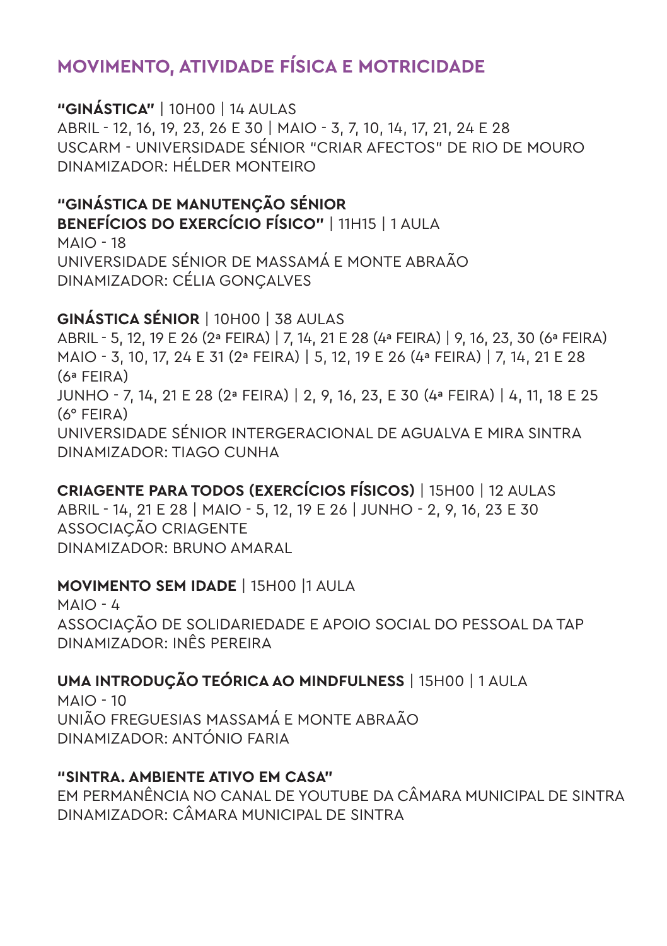## **MOVIMENTO, ATIVIDADE FÍSICA E MOTRICIDADE**

**"GINÁSTICA"** | 10H00 | 14 AULAS ABRIL - 12, 16, 19, 23, 26 E 30 | MAIO - 3, 7, 10, 14, 17, 21, 24 E 28 USCARM - UNIVERSIDADE SÉNIOR "CRIAR AFECTOS" DE RIO DE MOURO DINAMIZADOR: HÉLDER MONTEIRO

**"GINÁSTICA DE MANUTENÇÃO SÉNIOR BENEFÍCIOS DO EXERCÍCIO FÍSICO"** | 11H15 | 1 AULA MAIO - 18 UNIVERSIDADE SÉNIOR DE MASSAMÁ E MONTE ABRAÃO DINAMIZADOR: CÉLIA GONÇALVES

#### **GINÁSTICA SÉNIOR** | 10H00 | 38 AULAS

ABRIL - 5, 12, 19 E 26 (2ª FEIRA) | 7, 14, 21 E 28 (4ª FEIRA) | 9, 16, 23, 30 (6ª FEIRA) MAIO - 3, 10, 17, 24 E 31 (2ª FEIRA) | 5, 12, 19 E 26 (4ª FEIRA) | 7, 14, 21 E 28 (6ª FEIRA) JUNHO - 7, 14, 21 E 28 (2ª FEIRA) | 2, 9, 16, 23, E 30 (4ª FEIRA) | 4, 11, 18 E 25 (6° FEIRA) UNIVERSIDADE SÉNIOR INTERGERACIONAL DE AGUALVA E MIRA SINTRA DINAMIZADOR: TIAGO CUNHA

**CRIAGENTE PARA TODOS (EXERCÍCIOS FÍSICOS)** | 15H00 | 12 AULAS ABRIL - 14, 21 E 28 | MAIO - 5, 12, 19 E 26 | JUNHO - 2, 9, 16, 23 E 30 ASSOCIAÇÃO CRIAGENTE DINAMIZADOR: BRUNO AMARAL

#### **MOVIMENTO SEM IDADE** | 15H00 |1 AULA

 $MAD - L$ ASSOCIAÇÃO DE SOLIDARIEDADE E APOIO SOCIAL DO PESSOAL DA TAP DINAMIZADOR: INÊS PEREIRA

#### **UMA INTRODUÇÃO TEÓRICA AO MINDFULNESS** | 15H00 | 1 AULA

 $MAIO - 10$ UNIÃO FREGUESIAS MASSAMÁ E MONTE ABRAÃO DINAMIZADOR: ANTÓNIO FARIA

#### **"SINTRA. AMBIENTE ATIVO EM CASA"**

EM PERMANÊNCIA NO CANAL DE YOUTUBE DA CÂMARA MUNICIPAL DE SINTRA DINAMIZADOR: CÂMARA MUNICIPAL DE SINTRA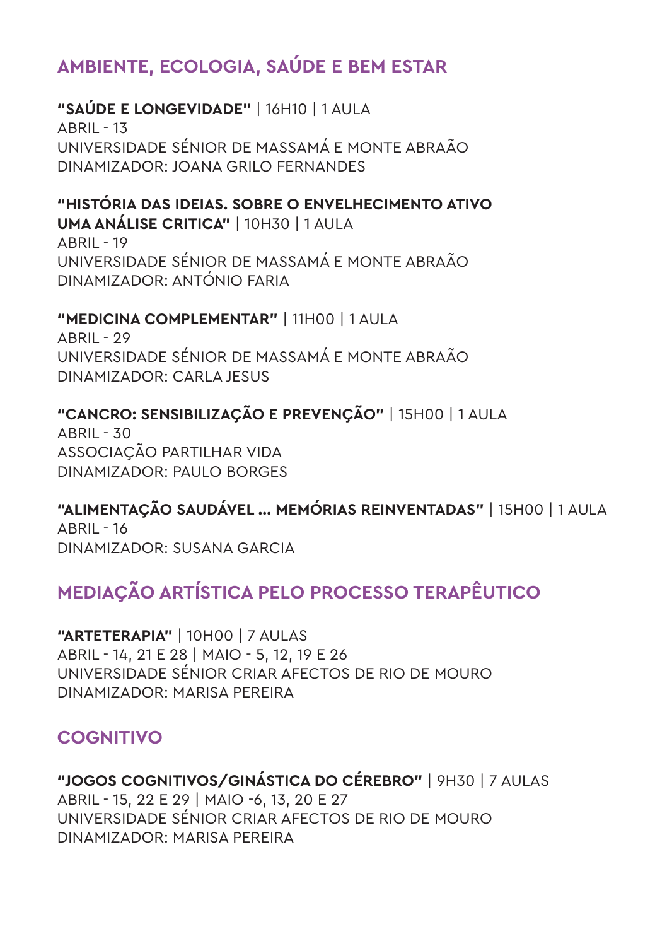## **AMBIENTE, ECOLOGIA, SAÚDE E BEM ESTAR**

#### **"SAÚDE E LONGEVIDADE"** | 16H10 | 1 AULA ABRIL - 13

UNIVERSIDADE SÉNIOR DE MASSAMÁ E MONTE ABRAÃO DINAMIZADOR: JOANA GRILO FERNANDES

#### **"HISTÓRIA DAS IDEIAS. SOBRE O ENVELHECIMENTO ATIVO**

**UMA ANÁLISE CRITICA"** | 10H30 | 1 AULA ABRIL - 19 UNIVERSIDADE SÉNIOR DE MASSAMÁ E MONTE ABRAÃO DINAMIZADOR: ANTÓNIO FARIA

## **"MEDICINA COMPLEMENTAR"** | 11H00 | 1 AULA

ABRIL - 29 UNIVERSIDADE SÉNIOR DE MASSAMÁ E MONTE ABRAÃO DINAMIZADOR: CARLA JESUS

## **"CANCRO: SENSIBILIZAÇÃO E PREVENÇÃO"** | 15H00 | 1 AULA

 $ARII - 30$ ASSOCIAÇÃO PARTILHAR VIDA DINAMIZADOR: PAULO BORGES

## **"ALIMENTAÇÃO SAUDÁVEL ... MEMÓRIAS REINVENTADAS"** | 15H00 | 1 AULA

 $\triangle$ RRIL - 16 DINAMIZADOR: SUSANA GARCIA

## **MEDIAÇÃO ARTÍSTICA PELO PROCESSO TERAPÊUTICO**

**"ARTETERAPIA"** | 10H00 | 7 AULAS ABRIL - 14, 21 E 28 | MAIO - 5, 12, 19 E 26 UNIVERSIDADE SÉNIOR CRIAR AFECTOS DE RIO DE MOURO DINAMIZADOR: MARISA PEREIRA

## **COGNITIVO**

**"JOGOS COGNITIVOS/GINÁSTICA DO CÉREBRO"** | 9H30 | 7 AULAS ABRIL - 15, 22 E 29 | MAIO -6, 13, 20 E 27 UNIVERSIDADE SÉNIOR CRIAR AFECTOS DE RIO DE MOURO DINAMIZADOR: MARISA PEREIRA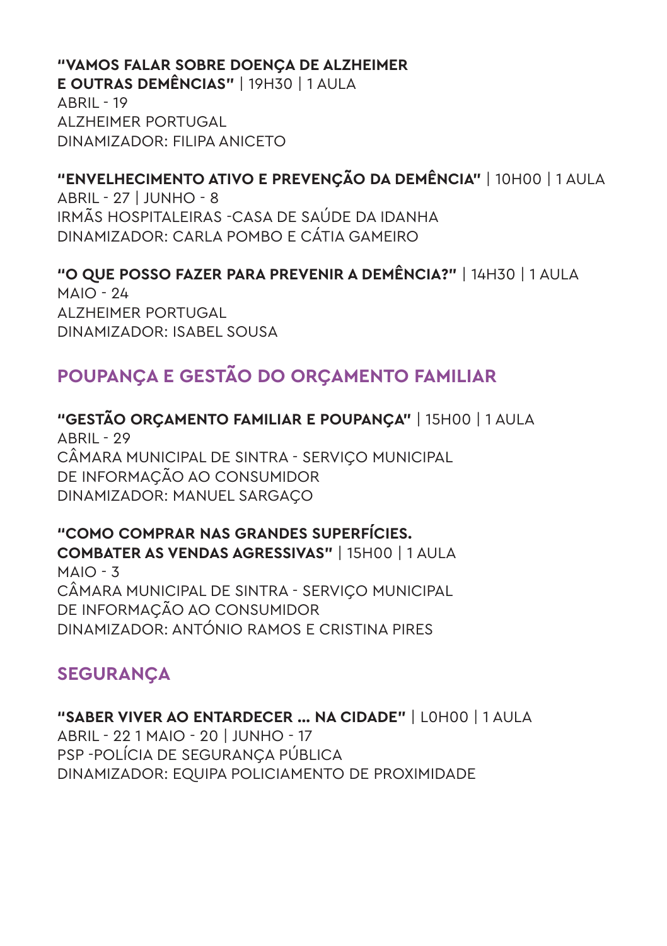#### **"VAMOS FALAR SOBRE DOENÇA DE ALZHEIMER**

**E OUTRAS DEMÊNCIAS"** | 19H30 | 1 AULA ABRIL - 19 ALZHEIMER PORTUGAL DINAMIZADOR: FILIPA ANICETO

## **"ENVELHECIMENTO ATIVO E PREVENÇÃO DA DEMÊNCIA"** | 10H00 | 1 AULA

ABRIL - 27 | JUNHO - 8 IRMÃS HOSPITALEIRAS -CASA DE SAÚDE DA IDANHA DINAMIZADOR: CARLA POMBO E CÁTIA GAMEIRO

**"O QUE POSSO FAZER PARA PREVENIR A DEMÊNCIA?"** | 14H30 | 1 AULA  $MAIO - 24$ ALZHEIMER PORTUGAL DINAMIZADOR: ISABEL SOUSA

## **POUPANÇA E GESTÃO DO ORÇAMENTO FAMILIAR**

## **"GESTÃO ORÇAMENTO FAMILIAR E POUPANÇA"** | 15H00 | 1 AULA

ABRIL - 29 CÂMARA MUNICIPAL DE SINTRA - SERVIÇO MUNICIPAL DE INFORMAÇÃO AO CONSUMIDOR DINAMIZADOR: MANUEL SARGAÇO

## **"COMO COMPRAR NAS GRANDES SUPERFÍCIES.**

**COMBATER AS VENDAS AGRESSIVAS"** | 15H00 | 1 AULA MAIO - 3 CÂMARA MUNICIPAL DE SINTRA - SERVIÇO MUNICIPAL DE INFORMAÇÃO AO CONSUMIDOR DINAMIZADOR: ANTÓNIO RAMOS E CRISTINA PIRES

## **SEGURANÇA**

**"SABER VIVER AO ENTARDECER ... NA CIDADE"** | L0H00 | 1 AULA ABRIL - 22 1 MAIO - 20 | JUNHO - 17 PSP -POLÍCIA DE SEGURANÇA PÚBLICA DINAMIZADOR: EQUIPA POLICIAMENTO DE PROXIMIDADE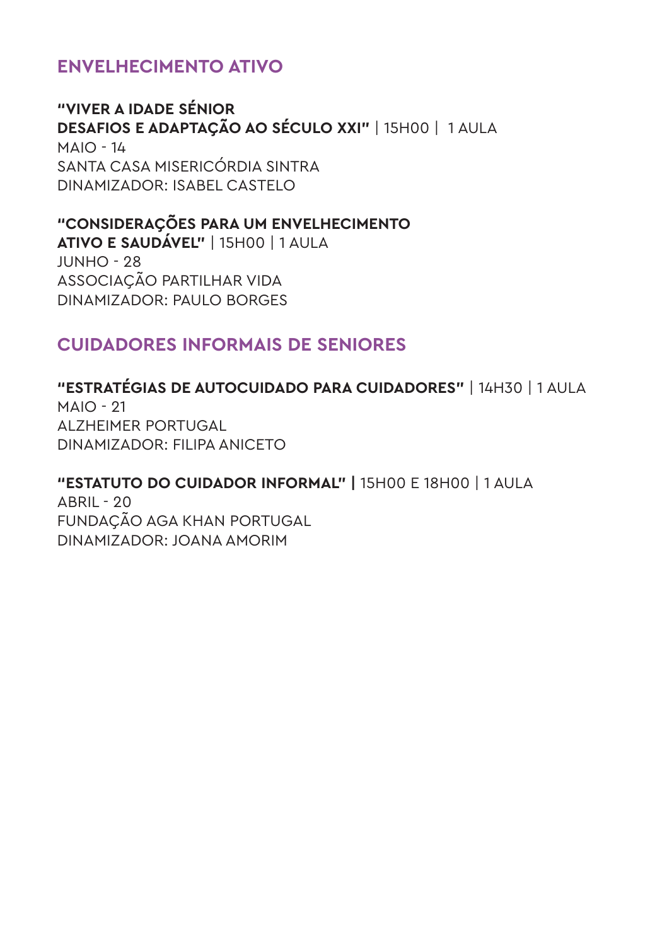## **ENVELHECIMENTO ATIVO**

**"VIVER A IDADE SÉNIOR DESAFIOS E ADAPTAÇÃO AO SÉCULO XXI"** | 15H00 | 1 AULA  $MAIO - 14$ SANTA CASA MISERICÓRDIA SINTRA DINAMIZADOR: ISABEL CASTELO

#### **"CONSIDERAÇÕES PARA UM ENVELHECIMENTO**

**ATIVO E SAUDÁVEL"** | 15H00 | 1 AULA  $I$ UNHO - 28 ASSOCIAÇÃO PARTILHAR VIDA DINAMIZADOR: PAULO BORGES

#### **CUIDADORES INFORMAIS DE SENIORES**

**"ESTRATÉGIAS DE AUTOCUIDADO PARA CUIDADORES"** | 14H30 | 1 AULA MAIO - 21 ALZHEIMER PORTUGAL DINAMIZADOR: FILIPA ANICETO

## **"ESTATUTO DO CUIDADOR INFORMAL" |** 15H00 E 18H00 | 1 AULA

ABRIL - 20 FUNDAÇÃO AGA KHAN PORTUGAL DINAMIZADOR: JOANA AMORIM